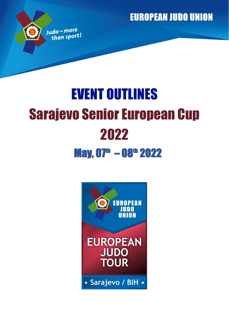**EUROPEAN JUDO UNION** 

# EVENT OUTLINES Sarajevo Senior European Cup 2022  $\mu$ May, 07<sup>th</sup> – 08<sup>th</sup> 2022

Judo-more than sport!

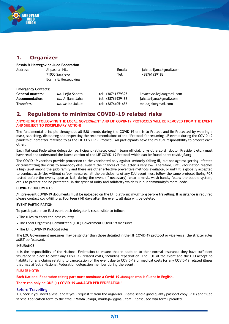

# **1. Organizer**

| Bosnia & Herzegovina Judo Federation |                      |        |                        |  |
|--------------------------------------|----------------------|--------|------------------------|--|
| Address:                             | Alipasina 14L,       | Email: | jaha.arijana@gmail.com |  |
|                                      | 71000 Sarajevo       | Tel:   | +38761929188           |  |
|                                      | Bosnia & Herzegovina |        |                        |  |

#### **Emergency Contacts:**

| <b>General matters:</b> | Ms. Lejla Sabeta | tel: +38761379395 | kovacevic.lejla@gmail.com |
|-------------------------|------------------|-------------------|---------------------------|
| Accommodation:          | Ms. Arijana Jaha | tel: +38761929188 | jaha.arijana@gmail.com    |
| Transfers:              | Ms. Maida Jakupi | tel: +38761051656 | maidajak@gmail.com        |

## **2. Regulations to minimize COVID-19 related risks**

#### **ANYONE NOT FOLLOWING THE LOCAL GOVERNMENT AND IJF COVID-19 PROTOCOLS WILL BE REMOVED FROM THE EVENT AND SUBJECT TO DISCIPLINARY ACTION!**

The fundamental principle throughout all EJU events during the COVID-19 era is to Protect and Be Protected by wearing a mask, sanitising, distancing and respecting the recommendations of the "Protocol for resuming IJF events during the COVID-19 pandemic" hereafter referred to as the IJF COVID-19 Protocol. All participants have the mutual responsibility to protect each other.

Each National Federation delegation participant (athlete, coach, team official, physiotherapist, doctor President etc.) must have read and understood the latest version of the IJF COVID-19 Protocol which can be found here: covid.ijf.org

The COVID-19 vaccines provide protection to the vaccinated only against seriously falling ill, but not against getting infected or transmitting the virus to somebody else, even if the chances of the latter is very low. Therefore, until vaccination reaches a high level among the judo family and there are other effective preventive methods available, or until it is globally accepted to conduct activities without safety measures, all the participants of any EJU event must follow the same protocol (being PCR tested before the event, upon arrival, during the event (if necessary), wear a mask, wash hands, follow the bubble system, etc.) to protect and be protected, in the spirit of unity and solidarity which is in our community's moral code.

#### **COVID-19 DOCUMENTS**

All pre-event COVID-19 documents must be uploaded on the IJF platform: my.ijf.org before travelling. If assistance is required please contact covid@ijf.org. Fourteen (14) days after the event, all data will be deleted.

#### **EVENT PARTICIPATION**

To participate in an EJU event each delegate is responsible to follow:

- The rules to enter the host country
- The Local Organising Committee's (LOC) Government COVID-19 measures
- The IJF COVID-19 Protocol rules

The LOC Government measures may be stricter than those detailed in the IJF COVID-19 protocol or vice versa, the stricter rules MUST be followed.

#### **INSURANCE**

It is the responsibility of the National Federation to ensure that in addition to their normal insurance they have sufficient insurance in place to cover any COVID-19-related costs, including repatriation. The LOC of the event and the EJU accept no liability for any claims relating to cancellation of the event due to COVID-19 or medical costs for any COVID-19 related illness that may affect a National Federation delegation member during the event.

#### **PLEASE NOTE:**

**Each National Federation taking part must nominate a Covid-19 Manager who is fluent in English.**

#### **There can only be ONE (1) COVID-19 MANAGER PER FEDERATION!**

#### **Before Travelling**

1. Check if you need a visa, and if yes - request it from the organiser. Please send a good quality passport copy (PDF) and filled in Visa Application form to the email: Maida Jakupi, maidajak@gmail.com. Please, see visa form uploaded.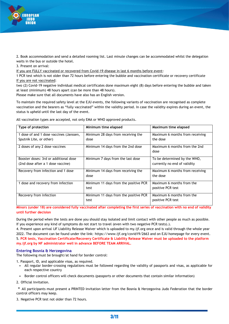

2. Book accommodation and send a detailed rooming list. Last minute changes can be accommodated whilst the delegation waits in the bus or outside the hotel.

3. Present on arrival:

If you are FULLY vaccinated or recovered from Covid-19 disease in last 6 months before event:

1 PCR test which is not older than 72 hours before entering the bubble and vaccination certificate or recovery certificate If you are not vaccinated:

two (2) Covid-19 negative individual medical certificates done maximum eight (8) days before entering the bubble and taken at least (minimum) 48 hours apart (can be more than 48 hours).

Please make sure that all documents have also has an English version.

To maintain the required safety level at the EJU events, the following variants of vaccination are recognised as complete vaccination and the bearers as "fully vaccinated" within the validity period. In case the validity expires during an event, the status is upheld until the last day of the event.

| Type of protection                                                         | Minimum time elapsed                          | Maximum time elapsed                                         |
|----------------------------------------------------------------------------|-----------------------------------------------|--------------------------------------------------------------|
| 1 dose of and 1 dose vaccines (Janssen,<br>Sputnik Lite, or other)         | Minimum 28 days from receiving the<br>dose    | Maximum 6 months from receiving<br>the dose                  |
| 2 doses of any 2 dose vaccines                                             | Minimum 14 days from the 2nd dose             | Maximum 6 months from the 2nd<br>dose                        |
| Booster doses: 3rd or additional dose<br>(2nd dose after a 1 dose vaccine) | Minimum 7 days from the last dose             | To be determined by the WHO,<br>currently no end of validity |
| Recovery from infection and 1 dose                                         | Minimum 14 days from receiving the<br>dose    | Maximum 6 months from receiving<br>the dose                  |
| 1 dose and recovery from infection                                         | Minimum 11 days from the positive PCR<br>test | Maximum 6 months from the<br>positive PCR test               |
| Recovery from infection                                                    | Minimum 11 days from the positive PCR<br>test | Maximum 6 months from the<br>positive PCR test               |

All vaccination types are accepted, not only EMA or WHO approved products.

**Minors (under 18) are considered fully vaccinated after completing the first series of vaccination with no end of validity until further decision**

During the period when the tests are done you should stay isolated and limit contact with other people as much as possible. If you experience any kind of symptoms do not start to travel (even with two negative PCR tests).).

4. Present upon arrival IJF Liability Release Waiver which is uploaded to my.ijf.org once and is valid through the whole year 2022. The document can be found under the link: https://www.ijf.org/covid19/2663 and on EJU homepage for every event. 5. **PCR tests, Vaccination Certificate/Recovery Certificate & Liability Release Waiver must be uploaded to the platform my.ijf.org by NF administrator well in advance BEFORE TEAM ARRIVAL.**

#### **Entering Bosnia & Herzegovina**

The following must be brought/at hand for border control:

1. Passport, ID, and applicable visas, as required.

- All regular border-crossing regulations must be followed regarding the validity of passports and visas, as applicable for each respective country
- Border control officers will check documents (passports or other documents that contain similar information)
- 2. Official Invitation.

\* All participants must present a PRINTED invitation letter from the Bosnia & Herzegovina Judo Federation that the border control officers may keep.

3. Negative PCR test not older than 72 hours.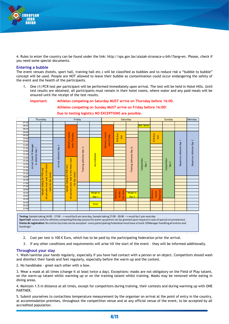

4. Rules to enter the country can be found under the link: http://sps.gov.ba/ulazak-stranaca-u-bih/?lang=en. Please, check if you need some special documents.

#### **Entering a bubble**

The event venues (hotels, sport hall, training hall etc.) will be classified as bubbles and to reduce risk a "bubble to bubble" concept will be used. People are NOT allowed to leave their bubble as contamination could occur endangering the safety of the event and the health of the participants.

1. One (1) PCR test per participant will be performed immediately upon arrival. The test will be held in Hotel Hills. Until test results are obtained, all participants must remain in their hotel rooms, where water and any paid meals will be ensured until the receipt of the test results.

#### **Important: Athletes competing on Saturday MUST arrive on Thursday before 16:00.**

**Athletes competing on Sunday MUST arrive on Friday before 16:00!**



#### **Due to testing logistics NO EXCEPTIONS are possible.**

**Sport hall**: access only for athletes competing that day (access for warm-up partner can be granted upon request in case of special circumstances) **Entries & registration**: No entries by clubs can be accepted - every participating Federation must have a Covid-19 Manager handling all entries and bookings!

- 2. Cost per test is 100  $\epsilon$  Euro, which has to be paid by the participating federation prior the arrival.
- 3. If any other conditions and requirements will arise till the start of the event they will be informed additionally.

#### **Throughout your stay**

1. Wash/sanitise your hands regularly, especially if you have had contact with a person or an object. Competitors should wash and disinfect their hands and feet regularly, especially before the warm-up and the contest.

2. No handshake - greet each other with a bow.

3. Wear a mask at all times (change it at least twice a day). Exceptions: masks are not obligatory on the Field of Play tatami, on the warm-up tatami whilst warming up or on the training tatami whilst training. Masks may be removed while eating in dining areas.

4. Maintain 1.5 m distance at all times, except for competitors during training, their contests and during warming up with ONE PARTNER.

5. Submit yourselves to contactless temperature measurement by the organiser on arrival at the point of entry in the country, at accommodation premises, throughout the competition venue and at any official venue of the event, to be accepted by all accredited population.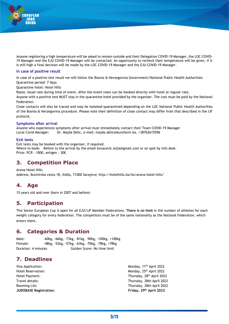

Anyone registering a high temperature will be asked to remain outside and their Delegation COVID-19 Manager, the LOC COVID-19 Manager and the EJU COVID-19 Manager will be contacted. An opportunity to recheck their temperature will be given, if it is still high a final decision will be made by the LOC COVID-19 Manager and the EJU COVID-19 Manager.

#### **In case of positive result**

In case of a positive test result we will follow the Bosnia & Herzegovina Government/National Public Health Authorities

Quarantine period: 7 days Quarantine hotel: Hotel Hills

Rates: Usual rate during time of event. After the event room can be booked directly with hotel at regular rate.

Anyone with a positive test MUST stay in the quarantine hotel provided by the organiser. The cost must be paid by the National Federation.

Close contacts will also be traced and may be isolated/quarantined depending on the LOC National Public Health Authorities of the Bosnia & Herzegovina procedure. Please note their definition of close contact may differ from that described in the IJF protocol.

#### **Symptoms after arrival**

Anyone who experiences symptoms after arrival must immediately contact their Team COVID-19 Manager Local Covid Manager: Dr. Majda Delic, e-mail: majda.delic@eurofarm.ba, +38762615596

#### **Exit tests**

Exit tests may be booked with the organiser, if required. Where to book: Before to the arrival by the email kovacevic.lejla@gmail.com or on spot by info desk. Price: PCR - 100€; antigen - 30€.

## **3. Competition Place**

Arena Hotel Hills Address: Butmirska cesta 18, Ilidža, 71000 Sarajevo; http://hotelhills.ba/bs/arena-hotel-hills/

## **4. Age**

15 years old and over (born in 2007 and before)

## **5. Participation**

This Senior European Cup is open for all EJU/IJF Member Federations. **There is no limit** in the number of athletes for each weight category for every federation. The competitors must be of the same nationality as the National Federation, which enters them.

### **6. Categories & Duration**

Male: -60kg, -66kg, -73kg, -81kg, -90kg, -100kg, +100kg Female: -48kg, -52kg, -57kg, -63kg, -70kg, -78kg, +78kg Duration: 4 minutes Golden Score: No time limit

## **7. Deadlines**

- Visa Application: Hotel Payment:
- Monday, 11<sup>th</sup> April 2022 Hotel Reservation: Monday, 25<sup>th</sup> April 2022 Thursday, 28<sup>th</sup> April 2022 Travel details: Thursday, 28th April 2022 Rooming List: Thursday, 28th April 2022 **JUDOBASE Registration: Friday, 29th April 2022**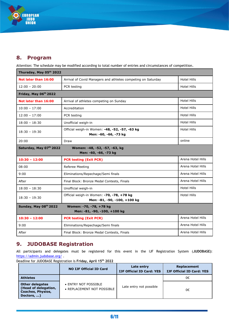

# **8. Program**

Attention: The schedule may be modified according to total number of entries and circumstances of competition.

| Thursday, May 05th 2022                                                           |                                                                           |                    |  |
|-----------------------------------------------------------------------------------|---------------------------------------------------------------------------|--------------------|--|
| Not later than 16:00                                                              | Arrival of Covid Managers and athletes competing on Saturday              | <b>Hotel Hills</b> |  |
| $12:00 - 20:00$                                                                   | PCR testing                                                               | <b>Hotel Hills</b> |  |
| Friday, May 06th 2022                                                             |                                                                           |                    |  |
| Not later than 16:00                                                              | Arrival of athletes competing on Sunday                                   | <b>Hotel Hills</b> |  |
| $10:00 - 17:00$                                                                   | Accreditation                                                             | <b>Hotel Hills</b> |  |
| $12:00 - 17:00$                                                                   | PCR testing                                                               | Hotel Hills        |  |
| $18:00 - 18:30$                                                                   | Unofficial weigh-in                                                       | <b>Hotel Hills</b> |  |
| $18:30 - 19:30$                                                                   | Official weigh-in Women: -48, -52, -57, -63 kg<br>Men: -60, -66, -73 kg   | Hotel Hills        |  |
| 20:00                                                                             | Draw                                                                      | online             |  |
| Saturday, May 07th 2022<br>Women: -48, -52, -57, -63, kg<br>Men: -60, -66, -73 kg |                                                                           |                    |  |
| $10:30 - 12:00$                                                                   | <b>PCR testing (Exit PCR)</b>                                             | Arena Hotel Hills  |  |
| 08:00                                                                             | Referee Meeting                                                           | Arena Hotel Hills  |  |
| 9:00                                                                              | Eliminations/Repechage/Semi finals                                        | Arena Hotel Hills  |  |
| After                                                                             | Final Block: Bronze Medal Contests, Finals                                | Arena Hotel Hills  |  |
| $18:00 - 18:30$                                                                   | Unofficial weigh-in                                                       | <b>Hotel Hills</b> |  |
| $18:30 - 19:30$                                                                   | Official weigh-in Women: -70, -78, +78 kg<br>Men: -81, -90, -100, +100 kg | Hotel Hills        |  |
| Sunday, May 08th 2022<br>Women: -70, -78, +78 kg<br>Men: -81, -90, -100, +100 kg  |                                                                           |                    |  |
| $10:30 - 12:00$                                                                   | <b>PCR testing (Exit PCR)</b>                                             | Arena Hotel Hills  |  |
| 9:00                                                                              | Eliminations/Repechage/Semi finals                                        | Arena Hotel Hills  |  |
| After                                                                             | Final Block: Bronze Medal Contests, Finals                                | Arena Hotel Hills  |  |

## **9. JUDOBASE Registration**

All participants and delegates must be registered for this event in the IJF Registration System (**JUDOBASE)**: <https://admin.judobase.org/> .

Deadline for JUDOBASE Registration is **Friday, April 15 th 2022**

|                                                                                          | <b>NO IJF Official ID Card</b>                     | Late entry<br><b>IJF Official ID Card: YES</b> | Replacement<br><b>IJF Official ID Card: YES</b> |
|------------------------------------------------------------------------------------------|----------------------------------------------------|------------------------------------------------|-------------------------------------------------|
| <b>Athletes</b>                                                                          |                                                    |                                                | 0€                                              |
| <b>Other delegates</b><br>(Head of delegation,<br><b>Coaches, Physios,</b><br>Doctors, ) | • ENTRY NOT POSSIBLE<br>• REPLACEMENT NOT POSSIBLE | Late entry not possible                        | 0€                                              |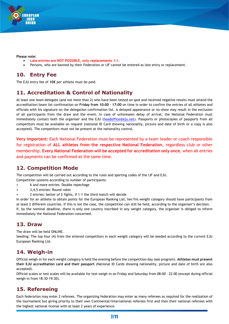

#### **Please note:**

- **Late entries are NOT POSSIBLE, only replacements 1:1**.
- Persons, who are banned by their Federation or IJF cannot be entered as late entry or replacement.

# **10. Entry Fee**

The EJU entry fee of **10€** per athlete must be paid.

# **11. Accreditation & Control of Nationality**

At least one team delegate (and not more than 2) who have been tested on spot and received negative results must attend the accreditation/team list confirmation on **Friday from 10:00 – 17:00** on time in order to confirm the entries of all athletes and officials with his signature on the delegation confirmation list. A delayed appearance or no-show may result in the exclusion of all participants from the draw and the event. In case of unforeseen delay of arrival, the National Federation must immediately contact both the organiser and the EJU [\(headoffice@eju.net\)](mailto:headoffice@eju.net). Passports or photocopies of passports from all competitors must be available on request (national ID Card showing nationality, picture and date of birth or a copy is also accepted). The competitors must not be present at the nationality control.

**Very important:** Each National Federation must be represented by a team leader or coach responsible for registration of **ALL athletes from the respective National Federation**, regardless club or other membership. **Every National Federation will be accepted for accreditation only once**, when all entries and payments can be confirmed at the same time.

# **12. Competition Mode**

The competition will be carried out according to the rules and sporting codes of the IJF and EJU.

Competition systems according to number of participants:

- 6 and more entries: Double repechage
- 3,4,5 entries: Round robin
- 2 entries: better of 2 fights, if 1-1 the third match will decide

In order for an athlete to obtain points for the European Ranking List, her/his weight category should have participants from at least 2 different countries. If this is not the case, the competition can still be held, according to the organiser's decision. If, by the nominal deadline, there is only one country inscribed in any weight category, the organiser is obliged to inform immediately the National Federation concerned.

## **13. Draw**

The draw will be held ONLINE.

Seeding: The top four (4) from the entered competitors in each weight category will be seeded according to the current EJU European Ranking List.

## **14. Weigh-in**

Official weigh-in for each weight category is held the evening before the competition day (see program). **Athletes must present their EJU accreditation card and their passport** (National ID Cards showing nationality, picture and date of birth are also accepted).

Official scales or test scales will be available for test weigh-in on Friday and Saturday from 08:00 – 22:00 (except during official weigh-in from 18:30-19:30).

# **15. Refereeing**

Each federation may enter 2 referees. The organizing federation may enter as many referees as required for the realization of the tournament but giving priority to their own Continental/International referees first and then their national referees with the highest national license with at least 2 years of experience.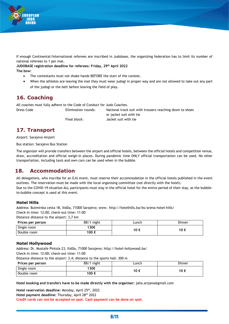

If enough Continental/International referees are inscribed in Judobase, the organizing federation has to limit its number of national referees to 1 per mat.

**JUDOBASE registration deadline for referees: Friday, 29th April 2022**

**The bow:**

- The contestants must not shake hands BEFORE the start of the contest.
- When the athletes are leaving the mat they must wear judogi in proper way and are not allowed to take out any part of the judogi or the belt before leaving the field of play.

## **16. Coaching**

All coaches must fully adhere to the Code of Conduct for Judo Coaches.

Dress Code Elimination rounds: National track suit with trousers reaching down to shoes or jacket suit with tie Final block: Jacket suit with tie

**17. Transport**

Airport: Sarajevo Airport

Bus station: Sarajevo Bus Station

The organizer will provide transfers between the airport and official hotels, between the official hotels and competition venue, draw, accreditation and official weigh-in places. During pandemic time ONLY official transportation can be used. No other transportation, including taxis and own cars can be used when in the bubble.

# **18. Accommodation**

All delegations, who inscribe for an EJU event, must reserve their accommodation in the official hotels published in the event outlines. The reservation must be made with the local organising committee (not directly with the hotel). Due to the COVID-19 situation ALL participants must stay in the official hotel for the entire period of their stay, as the bubbleto-bubble concept is used at this event.

#### **Hotel Hills**

Address: Butmirska cesta 18, Ilidža, 71000 Sarajevo; www. http://hotelhills.ba/bs/arena-hotel-hills/ Check-in time: 12:00; check-out time: 11:00

Distance distance to the airport: 3,7 km

| Prices per person | BB/1 night | Lunch | Dinner |
|-------------------|------------|-------|--------|
| Single room       | 130€       | 10 €  | 10 €   |
| Double room       | 100 €      |       |        |

#### **Hotel Hollywood**

Address: Dr. Mustafe Pintola 23, Ilidža, 71000 Sarajevo; http://hotel-hollywood.ba/

Check-in time: 12:00; check-out time: 11:00

Distance distance to the airport: 3,4; distance to the sports hall: 300 m

| Prices per person | BB/1 night | ∟unch | Dinner |
|-------------------|------------|-------|--------|
| Single room       | 130€       | 10 €  | 10 €   |
| Double room       | 100 €      |       |        |

**Hotel booking and transfers have to be made directly with the organiser:** jaha.arijana@gmail.com

**Hotel reservation deadline:** Monday**,** April 25th , 2022 Hotel payment deadline: Thursday, April 28<sup>th</sup> 2022 **Credit cards can not be accepted on spot. Cash payment can be done on spot.**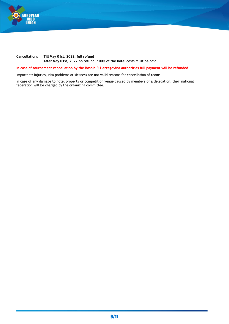

#### **Cancellations Till May 01st, 2022: full refund After May 01st, 2022 no refund, 100% of the hotel costs must be paid**

**In case of tournament cancellation by the Bosnia & Herzegovina authorities full payment will be refunded**.

Important: Injuries, visa problems or sickness are not valid reasons for cancellation of rooms.

In case of any damage to hotel property or competition venue caused by members of a delegation, their national federation will be charged by the organizing committee.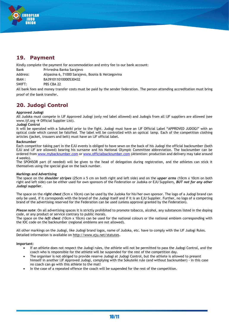

# **19. Payment**

Kindly complete the payment for accommodation and entry fee to our bank account:

Bank Privredna Banka Sarajevo

Address: Alipasina 6, 71000 Sarajevo, Bosnia & Herzegovina

IBAN : BA391011010000530432

SWIFT: PBS CBA 22

All bank fees and money transfer costs must be paid by the sender federation. The person attending accreditation must bring proof of the bank transfer.

**20. Judogi Control**

#### **Approved Judogi**

All Judoka must compete in IJF Approved Judogi (only red label allowed) and Judogis from all IJF suppliers are allowed (see www.iif.org  $\rightarrow$  Official Supplier List).

#### **Judogi Control**

It will be operated with a Sokuteiki prior to the fight. Judogi must have an IJF Official Label "APPROVED JUDOGI" with an optical code which cannot be falsified. The label will be controlled with an optical lamp. Each of the competition clothing articles (jacket, trousers and belt) must have an IJF official label.

#### **Backnumber**

Each competitor taking part in the EJU events is obliged to have sewn on the back of his Judogi the official backnumber (both EJU and IJF are allowed) bearing his surname and his National Olympic Committee abbreviation. The backnumber can be ordered from [www.mybacknumber.com](http://www.mybacknumber.com/) or [www.officialbacknumber.com](http://www.officialbacknumber.com/) (Attention: production and delivery may take around 4 weeks).

The SPONSOR part (if needed) will be given to the head of delegation during registration, and the athletes can stick it themselves using the special glue on the back number.

#### **Markings and Advertising**

The space on the *shoulder stripes* (25cm x 5 cm on both right and left side) and on the *upper arms* (10cm x 10cm on both right and left side) can be either used for own sponsors of the Federation or Judoka or EJU Suppliers, *BUT not for any other Judogi supplier*.

The space on the *right chest* (5cm x 10cm) can be used by the Judoka for his/her own sponsor. The logo of a Judogi brand can only be used, if it corresponds with the brand of the Judogi itself and if it is an EJU Supplier. Further, no logo of a competing brand of the advertising reserved for the Federation can be used (unless approval granted by the Federation).

*Please note*: On all advertising spaces it is strictly prohibited to promote tobacco, alcohol, any substances listed in the doping code, or any product or service contrary to public morals.

The space on the *left chest* (10cm x 10cm) can be used for the national colours or the national emblem corresponding with the IOC code on the backnumber (regional emblems are not allowed).

All other markings on the Judogi, like Judogi brand logos, name of Judoka, etc. have to comply with the IJF Judogi Rules. Detailed information is available on<http://www.eju.net/statutes>.

**Important:**

- If an athlete does not respect the Judogi rules, the athlete will not be permitted to pass the Judogi Control, and the coach who is responsible for the athlete will be suspended for the rest of the competition day.
- The organiser is not obliged to provide reserve Judogi at Judogi Control, but the athlete is allowed to present himself in another IJF Approved Judogi, complying with the Sokuteiki rule (and without backnumber) - in this case no coach can go with this athlete to the mat!
- In the case of a repeated offence the coach will be suspended for the rest of the competition.